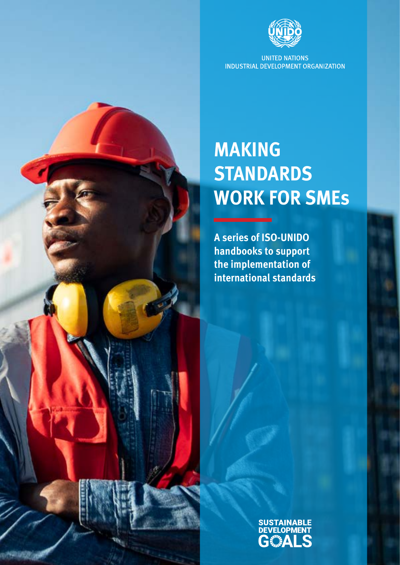

**UNITED NATIONS** INDUSTRIAL DEVELOPMENT ORGANIZATION

# **MAKING STANDARDS WORK FOR SMEs**

**A series of ISO-UNIDO handbooks to support the implementation of international standards**

> **SUSTAINABLE** G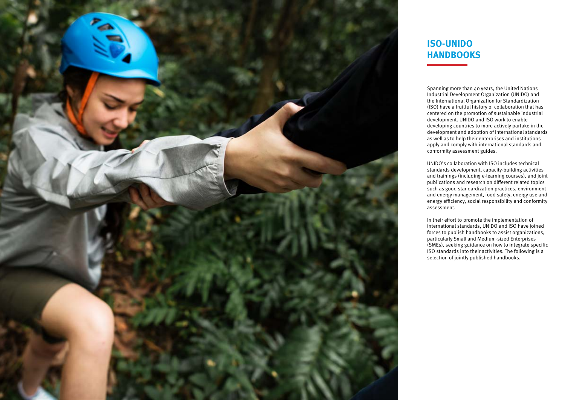Spanning more than 40 years, the United Nations Industrial Development Organization (UNIDO) and the International Organization for Standardization (ISO) have a fruitful history of collaboration that has centered on the promotion of sustainable industrial development. UNIDO and ISO work to enable developing countries to more actively partake in the development and adoption of international standards as well as to help their enterprises and institutions apply and comply with international standards and conformity assessment guides.

UNIDO's collaboration with ISO includes technical standards development, capacity-building activities and trainings (including e-learning courses), and joint publications and research on different related topics such as good standardization practices, environment and energy management, food safety, energy use and energy efficiency, social responsibility and conformity assessment.

In their effort to promote the implementation of international standards, UNIDO and ISO have joined forces to publish handbooks to assist organizations, particularly Small and Medium-sized Enterprises (SMEs), seeking guidance on how to integrate specific ISO standards into their activities. The following is a selection of jointly published handbooks.



## **ISO-UNIDO HANDBOOKS**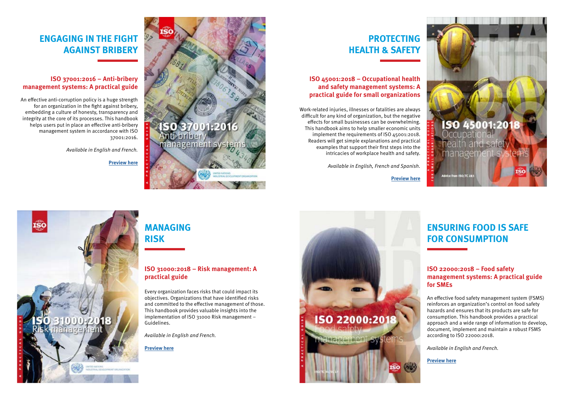### **ENGAGING IN THE FIGHT AGAINST BRIBERY**

# **PROTECTING HEALTH & SAFETY**

# **MANAGING RISK**

# **ENSURING FOOD IS SAFE FOR CONSUMPTION**

#### **ISO 37001:2016 – Anti-bribery management systems: A practical guide**

An effective anti-corruption policy is a huge strength for an organization in the fight against bribery, embedding a culture of honesty, transparency and integrity at the core of its processes. This handbook helps users put in place an effective anti-bribery management system in accordance with ISO 37001:2016.

*Available in English and French.*

**[Preview here](https://www.iso.org/files/live/sites/isoorg/files/store/en/PUB100457_preview.pdf)** 



### **ISO 45001:2018 – Occupational health and safety management systems: A practical guide for small organizations**

Work-related injuries, illnesses or fatalities are always difficult for any kind of organization, but the negative effects for small businesses can be overwhelming. This handbook aims to help smaller economic units implement the requirements of ISO 45001:2018. Readers will get simple explanations and practical examples that support their first steps into the intricacies of workplace health and safety.

*Available in English, French and Spanish.* 

**[Preview](https://www.iso.org/files/live/sites/isoorg/files/store/en/PUB100451_preview.pdf) here**



### **ISO 31000:2018 – Risk management: A practical guide**

Every organization faces risks that could impact its objectives. Organizations that have identified risks and committed to the effective management of those. This handbook provides valuable insights into the implementation of ISO 31000 Risk management – Guidelines.

*Available in English and French.* 

**[Preview here](https://www.iso.org/files/live/sites/isoorg/files/store/en/PUB100464_preview.pdf)**





### **ISO 22000:2018 – Food safety management systems: A practical guide for SMEs**

An effective food safety management system (FSMS) reinforces an organization's control on food safety hazards and ensures that its products are safe for consumption. This handbook provides a practical approach and a wide range of information to develop, document, implement and maintain a robust FSMS according to ISO 22000:2018.

*Available in English and French.* 

**[Preview here](https://www.iso.org/files/live/sites/isoorg/files/store/en/PUB100454_preview.pdf)**